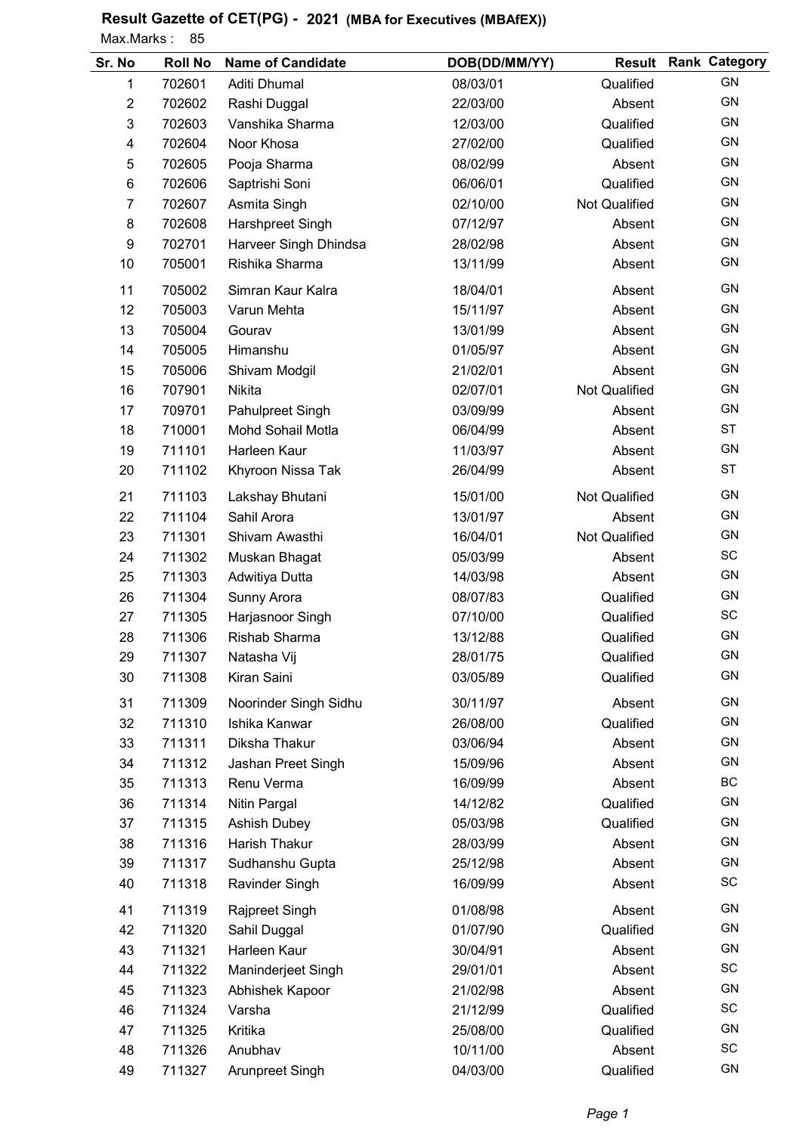## Result Gazette of CET(PG) - 2021 (MBA for Executives (MBAfEX)) Max.Marks: 85

 $\overline{a}$ 

| Sr. No         | <b>Roll No</b> | <b>Name of Candidate</b> | DOB(DD/MM/YY) | <b>Result</b>        | <b>Rank Category</b> |
|----------------|----------------|--------------------------|---------------|----------------------|----------------------|
| 1              | 702601         | Aditi Dhumal             | 08/03/01      | Qualified            | GN                   |
| $\overline{2}$ | 702602         | Rashi Duggal             | 22/03/00      | Absent               | <b>GN</b>            |
| 3              | 702603         | Vanshika Sharma          | 12/03/00      | Qualified            | GN                   |
| 4              | 702604         | Noor Khosa               | 27/02/00      | Qualified            | GN                   |
| 5              | 702605         | Pooja Sharma             | 08/02/99      | Absent               | GN                   |
| 6              | 702606         | Saptrishi Soni           | 06/06/01      | Qualified            | GN                   |
| $\overline{7}$ | 702607         | Asmita Singh             | 02/10/00      | Not Qualified        | GN                   |
| 8              | 702608         | Harshpreet Singh         | 07/12/97      | Absent               | GN                   |
| 9              | 702701         | Harveer Singh Dhindsa    | 28/02/98      | Absent               | GN                   |
| 10             | 705001         | Rishika Sharma           | 13/11/99      | Absent               | GN                   |
| 11             | 705002         | Simran Kaur Kalra        | 18/04/01      | Absent               | <b>GN</b>            |
| 12             | 705003         | Varun Mehta              | 15/11/97      | Absent               | <b>GN</b>            |
| 13             | 705004         | Gourav                   | 13/01/99      | Absent               | <b>GN</b>            |
| 14             | 705005         | Himanshu                 | 01/05/97      | Absent               | GN                   |
| 15             | 705006         | Shivam Modgil            | 21/02/01      | Absent               | <b>GN</b>            |
| 16             | 707901         | Nikita                   | 02/07/01      | <b>Not Qualified</b> | GN                   |
| 17             | 709701         | Pahulpreet Singh         | 03/09/99      | Absent               | <b>GN</b>            |
| 18             | 710001         | Mohd Sohail Motla        | 06/04/99      | Absent               | <b>ST</b>            |
| 19             | 711101         | Harleen Kaur             | 11/03/97      | Absent               | GN                   |
| 20             | 711102         | Khyroon Nissa Tak        | 26/04/99      | Absent               | <b>ST</b>            |
| 21             | 711103         | Lakshay Bhutani          | 15/01/00      | Not Qualified        | GN                   |
| 22             | 711104         | Sahil Arora              | 13/01/97      | Absent               | GN                   |
| 23             | 711301         | Shivam Awasthi           | 16/04/01      | <b>Not Qualified</b> | <b>GN</b>            |
| 24             | 711302         | Muskan Bhagat            | 05/03/99      | Absent               | SC                   |
| 25             | 711303         | Adwitiya Dutta           | 14/03/98      | Absent               | <b>GN</b>            |
| 26             | 711304         | Sunny Arora              | 08/07/83      | Qualified            | GN                   |
| 27             | 711305         | Harjasnoor Singh         | 07/10/00      | Qualified            | SC                   |
| 28             | 711306         | Rishab Sharma            | 13/12/88      | Qualified            | GN                   |
| 29             | 711307         | Natasha Vij              | 28/01/75      | Qualified            | GN                   |
| 30             | 711308         | Kiran Saini              | 03/05/89      | Qualified            | GN                   |
| 31             | 711309         | Noorinder Singh Sidhu    | 30/11/97      | Absent               | <b>GN</b>            |
| 32             | 711310         | Ishika Kanwar            | 26/08/00      | Qualified            | GN                   |
| 33             | 711311         | Diksha Thakur            | 03/06/94      | Absent               | GN                   |
| 34             | 711312         | Jashan Preet Singh       | 15/09/96      | Absent               | GN                   |
| 35             | 711313         | Renu Verma               | 16/09/99      | Absent               | BC                   |
| 36             | 711314         | Nitin Pargal             | 14/12/82      | Qualified            | GN                   |
| 37             | 711315         | Ashish Dubey             | 05/03/98      | Qualified            | GN                   |
| 38             | 711316         | Harish Thakur            | 28/03/99      | Absent               | GN                   |
| 39             | 711317         | Sudhanshu Gupta          | 25/12/98      | Absent               | GN                   |
| 40             | 711318         | Ravinder Singh           | 16/09/99      | Absent               | SC                   |
| 41             | 711319         | Rajpreet Singh           | 01/08/98      | Absent               | <b>GN</b>            |
| 42             | 711320         | Sahil Duggal             | 01/07/90      | Qualified            | GN                   |
| 43             | 711321         | Harleen Kaur             | 30/04/91      | Absent               | GN                   |
| 44             | 711322         | Maninderjeet Singh       | 29/01/01      | Absent               | SC                   |
| 45             | 711323         | Abhishek Kapoor          | 21/02/98      | Absent               | GN                   |
| 46             | 711324         | Varsha                   | 21/12/99      | Qualified            | SC                   |
| 47             | 711325         | Kritika                  | 25/08/00      | Qualified            | GN                   |
| 48             | 711326         | Anubhav                  | 10/11/00      | Absent               | SC                   |
| 49             | 711327         | Arunpreet Singh          | 04/03/00      | Qualified            | GN                   |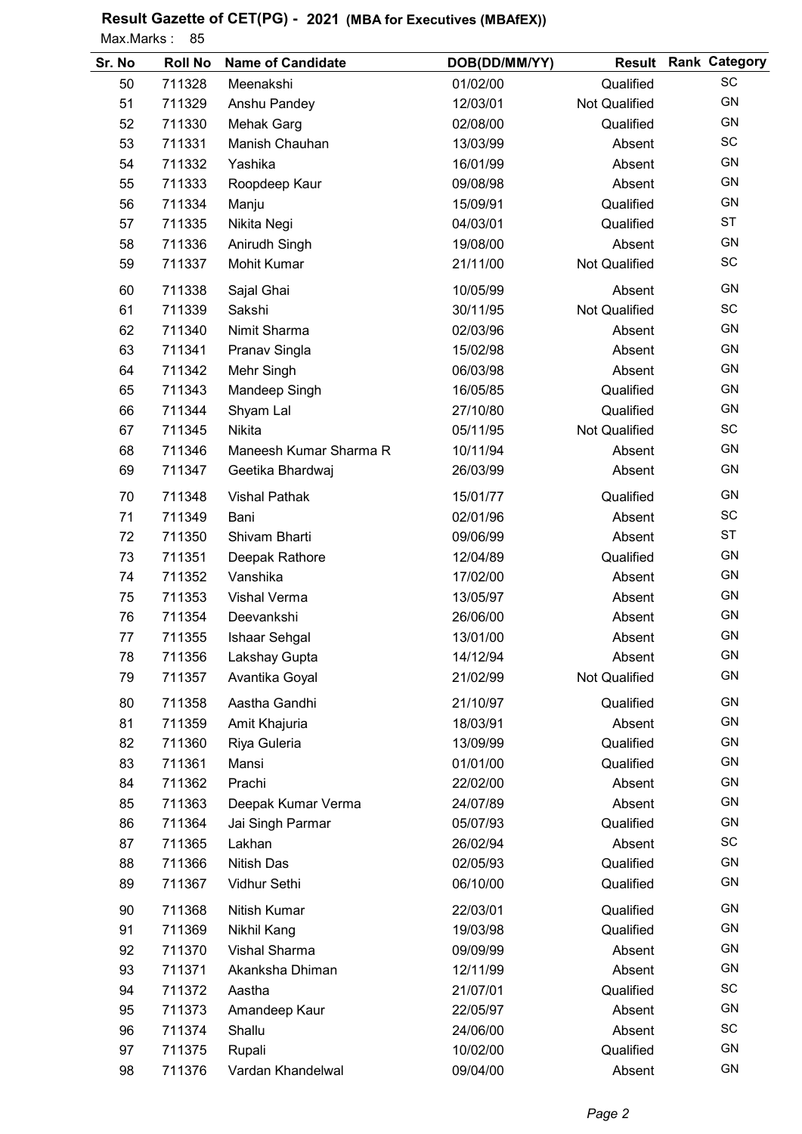## Result Gazette of CET(PG) - 2021 (MBA for Executives (MBAfEX))

Max.Marks: 85

| Sr. No | <b>Roll No</b> | <b>Name of Candidate</b> | DOB(DD/MM/YY) |                      | <b>Result Rank Category</b> |
|--------|----------------|--------------------------|---------------|----------------------|-----------------------------|
| 50     | 711328         | Meenakshi                | 01/02/00      | Qualified            | SC                          |
| 51     | 711329         | Anshu Pandey             | 12/03/01      | <b>Not Qualified</b> | <b>GN</b>                   |
| 52     | 711330         | Mehak Garg               | 02/08/00      | Qualified            | GN                          |
| 53     | 711331         | Manish Chauhan           | 13/03/99      | Absent               | SC                          |
| 54     | 711332         | Yashika                  | 16/01/99      | Absent               | GN                          |
| 55     | 711333         | Roopdeep Kaur            | 09/08/98      | Absent               | GN                          |
| 56     | 711334         | Manju                    | 15/09/91      | Qualified            | GN                          |
| 57     | 711335         | Nikita Negi              | 04/03/01      | Qualified            | <b>ST</b>                   |
| 58     | 711336         | Anirudh Singh            | 19/08/00      | Absent               | GN                          |
| 59     | 711337         | <b>Mohit Kumar</b>       | 21/11/00      | <b>Not Qualified</b> | SC                          |
| 60     | 711338         | Sajal Ghai               | 10/05/99      | Absent               | <b>GN</b>                   |
| 61     | 711339         | Sakshi                   | 30/11/95      | Not Qualified        | SC                          |
| 62     | 711340         | Nimit Sharma             | 02/03/96      | Absent               | GN                          |
| 63     | 711341         | Pranav Singla            | 15/02/98      | Absent               | <b>GN</b>                   |
| 64     | 711342         | Mehr Singh               | 06/03/98      | Absent               | <b>GN</b>                   |
| 65     | 711343         | Mandeep Singh            | 16/05/85      | Qualified            | GN                          |
| 66     | 711344         | Shyam Lal                | 27/10/80      | Qualified            | <b>GN</b>                   |
| 67     | 711345         | Nikita                   | 05/11/95      | Not Qualified        | SC                          |
| 68     | 711346         | Maneesh Kumar Sharma R   | 10/11/94      | Absent               | GN                          |
| 69     | 711347         | Geetika Bhardwaj         | 26/03/99      | Absent               | GN                          |
| 70     | 711348         | <b>Vishal Pathak</b>     | 15/01/77      | Qualified            | <b>GN</b>                   |
| 71     | 711349         | Bani                     | 02/01/96      | Absent               | SC                          |
| 72     | 711350         | Shivam Bharti            | 09/06/99      | Absent               | <b>ST</b>                   |
| 73     | 711351         | Deepak Rathore           | 12/04/89      | Qualified            | GN                          |
| 74     | 711352         | Vanshika                 | 17/02/00      | Absent               | GN                          |
| 75     | 711353         | Vishal Verma             | 13/05/97      | Absent               | GN                          |
| 76     | 711354         | Deevankshi               | 26/06/00      | Absent               | <b>GN</b>                   |
| 77     | 711355         | Ishaar Sehgal            | 13/01/00      | Absent               | GN                          |
| 78     | 711356         | Lakshay Gupta            | 14/12/94      | Absent               | GN                          |
| 79     | 711357         | Avantika Goyal           | 21/02/99      | Not Qualified        | GN                          |
| 80     | 711358         | Aastha Gandhi            | 21/10/97      | Qualified            | GN                          |
| 81     | 711359         | Amit Khajuria            | 18/03/91      | Absent               | GN                          |
| 82     | 711360         | Riya Guleria             | 13/09/99      | Qualified            | GN                          |
| 83     | 711361         | Mansi                    | 01/01/00      | Qualified            | GN                          |
| 84     | 711362         | Prachi                   | 22/02/00      | Absent               | GN                          |
| 85     | 711363         | Deepak Kumar Verma       | 24/07/89      | Absent               | GN                          |
| 86     | 711364         | Jai Singh Parmar         | 05/07/93      | Qualified            | GN                          |
| 87     | 711365         | Lakhan                   | 26/02/94      | Absent               | SC                          |
| 88     | 711366         | <b>Nitish Das</b>        | 02/05/93      | Qualified            | GN                          |
| 89     | 711367         | Vidhur Sethi             | 06/10/00      | Qualified            | GN                          |
| 90     | 711368         | Nitish Kumar             | 22/03/01      | Qualified            | <b>GN</b>                   |
| 91     | 711369         | Nikhil Kang              | 19/03/98      | Qualified            | GN                          |
| 92     | 711370         | Vishal Sharma            | 09/09/99      | Absent               | <b>GN</b>                   |
| 93     | 711371         | Akanksha Dhiman          | 12/11/99      | Absent               | GN                          |
| 94     | 711372         | Aastha                   | 21/07/01      | Qualified            | <b>SC</b>                   |
| 95     | 711373         | Amandeep Kaur            | 22/05/97      | Absent               | GN                          |
| 96     | 711374         | Shallu                   | 24/06/00      | Absent               | SC                          |
| 97     | 711375         | Rupali                   | 10/02/00      | Qualified            | GN                          |
| 98     | 711376         | Vardan Khandelwal        | 09/04/00      | Absent               | GN                          |